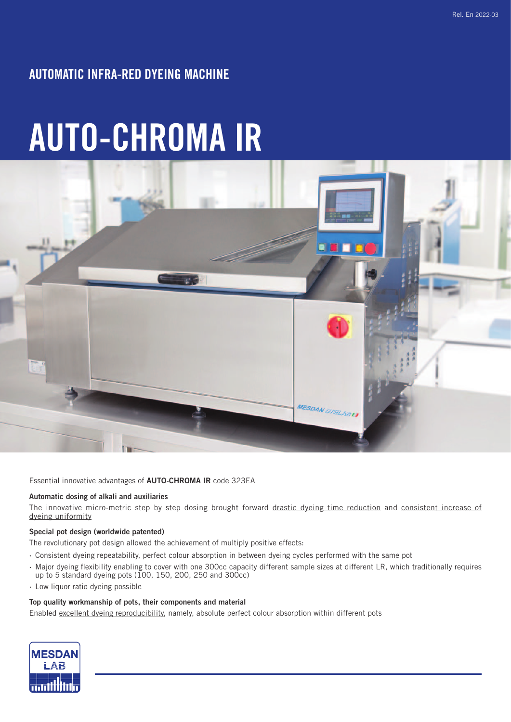# AUTOMATIC INFRA-RED DYEING MACHINE

# AUTO-CHROMA IR



Essential innovative advantages of AUTO-CHROMA IR code 323EA

### Automatic dosing of alkali and auxiliaries

The innovative micro-metric step by step dosing brought forward drastic dyeing time reduction and consistent increase of dyeing uniformity

### Special pot design (worldwide patented)

The revolutionary pot design allowed the achievement of multiply positive effects:

- · Consistent dyeing repeatability, perfect colour absorption in between dyeing cycles performed with the same pot
- · Major dyeing flexibility enabling to cover with one 300cc capacity different sample sizes at different LR, which traditionally requires up to 5 standard dyeing pots (100, 150, 200, 250 and 300cc)
- · Low liquor ratio dyeing possible

### Top quality workmanship of pots, their components and material

Enabled excellent dyeing reproducibility, namely, absolute perfect colour absorption within different pots